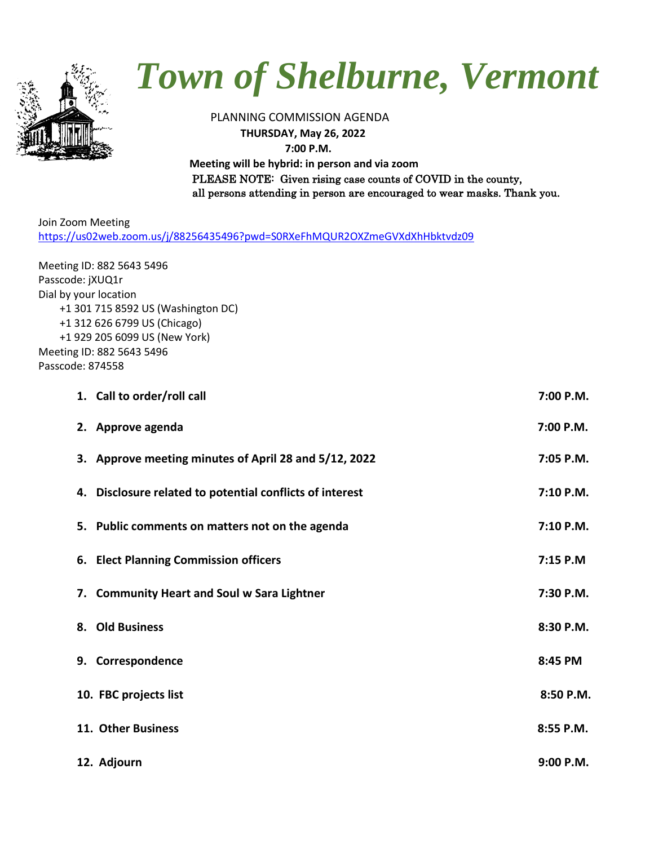

# *Town of Shelburne, Vermont*

PLANNING COMMISSION AGENDA

 **THURSDAY, May 26, 2022 7:00 P.M.**

 **Meeting will be hybrid: in person and via zoom** PLEASE NOTE: Given rising case counts of COVID in the county, all persons attending in person are encouraged to wear masks. Thank you.

Join Zoom Meeting <https://us02web.zoom.us/j/88256435496?pwd=S0RXeFhMQUR2OXZmeGVXdXhHbktvdz09>

| Meeting ID: 882 5643 5496          |
|------------------------------------|
| Passcode: jXUQ1r                   |
| Dial by your location              |
| +1 301 715 8592 US (Washington DC) |
| +1 312 626 6799 US (Chicago)       |
| +1 929 205 6099 US (New York)      |
| Meeting ID: 882 5643 5496          |
| Passcode: 874558                   |
|                                    |

| 1. Call to order/roll call                               | 7:00 P.M. |
|----------------------------------------------------------|-----------|
| 2. Approve agenda                                        | 7:00 P.M. |
| 3. Approve meeting minutes of April 28 and 5/12, 2022    | 7:05 P.M. |
| 4. Disclosure related to potential conflicts of interest | 7:10 P.M. |
| 5. Public comments on matters not on the agenda          | 7:10 P.M. |
| 6. Elect Planning Commission officers                    | 7:15 P.M  |
| 7. Community Heart and Soul w Sara Lightner              | 7:30 P.M. |
| 8. Old Business                                          | 8:30 P.M. |
| 9. Correspondence                                        | 8:45 PM   |
| 10. FBC projects list                                    | 8:50 P.M. |
| 11. Other Business                                       | 8:55 P.M. |
| 12. Adjourn                                              | 9:00 P.M. |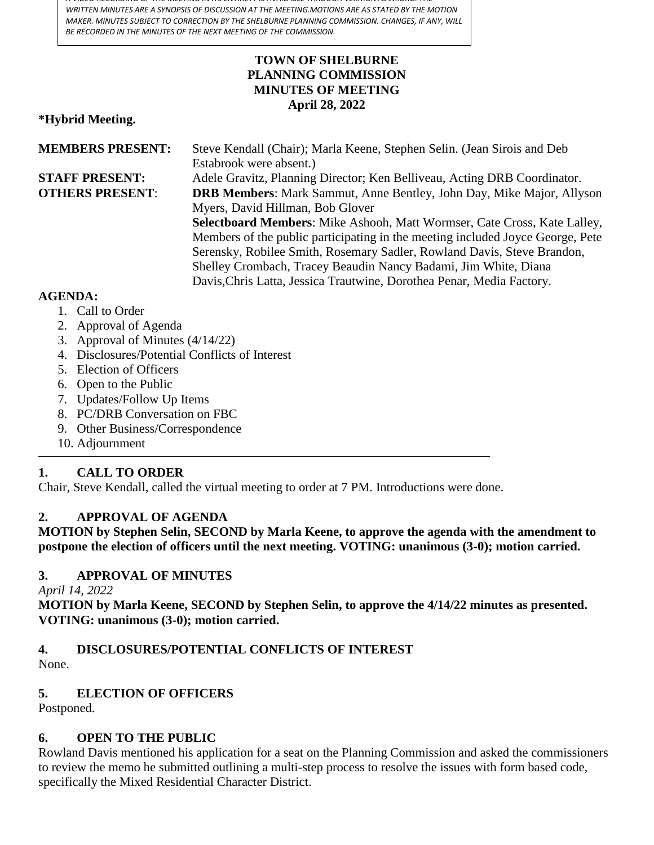*A VIDEO RECORDING OF THE MEETING IN ITS ENTIRETY IS AVAILABLE THROUGH VERMONTCAM.ORG. THE WRITTEN MINUTES ARE A SYNOPSIS OF DISCUSSION AT THE MEETING.MOTIONS ARE AS STATED BY THE MOTION MAKER. MINUTES SUBJECT TO CORRECTION BY THE SHELBURNE PLANNING COMMISSION. CHANGES, IF ANY, WILL BE RECORDED IN THE MINUTES OF THE NEXT MEETING OF THE COMMISSION.*

### **TOWN OF SHELBURNE PLANNING COMMISSION MINUTES OF MEETING April 28, 2022**

### **\*Hybrid Meeting.**

| <b>MEMBERS PRESENT:</b>                                                  | Steve Kendall (Chair); Marla Keene, Stephen Selin. (Jean Sirois and Deb        |
|--------------------------------------------------------------------------|--------------------------------------------------------------------------------|
|                                                                          | Estabrook were absent.)                                                        |
| <b>STAFF PRESENT:</b>                                                    | Adele Gravitz, Planning Director; Ken Belliveau, Acting DRB Coordinator.       |
| <b>OTHERS PRESENT:</b>                                                   | <b>DRB Members:</b> Mark Sammut, Anne Bentley, John Day, Mike Major, Allyson   |
|                                                                          | Myers, David Hillman, Bob Glover                                               |
|                                                                          | Selectboard Members: Mike Ashooh, Matt Wormser, Cate Cross, Kate Lalley,       |
|                                                                          | Members of the public participating in the meeting included Joyce George, Pete |
|                                                                          | Serensky, Robilee Smith, Rosemary Sadler, Rowland Davis, Steve Brandon,        |
|                                                                          | Shelley Crombach, Tracey Beaudin Nancy Badami, Jim White, Diana                |
|                                                                          | Davis, Chris Latta, Jessica Trautwine, Dorothea Penar, Media Factory.          |
| $\Lambda$ $C$ $\Gamma$ $\Lambda$ $\Lambda$ $\Lambda$ $\Lambda$ $\Lambda$ |                                                                                |

### **AGENDA:**

- 1. Call to Order
- 2. Approval of Agenda
- 3. Approval of Minutes (4/14/22)
- 4. Disclosures/Potential Conflicts of Interest
- 5. Election of Officers
- 6. Open to the Public
- 7. Updates/Follow Up Items
- 8. PC/DRB Conversation on FBC
- 9. Other Business/Correspondence
- 10. Adjournment

### **1. CALL TO ORDER**

Chair, Steve Kendall, called the virtual meeting to order at 7 PM. Introductions were done.

### **2. APPROVAL OF AGENDA**

**MOTION by Stephen Selin, SECOND by Marla Keene, to approve the agenda with the amendment to postpone the election of officers until the next meeting. VOTING: unanimous (3-0); motion carried.**

### **3. APPROVAL OF MINUTES**

*April 14, 2022*

**MOTION by Marla Keene, SECOND by Stephen Selin, to approve the 4/14/22 minutes as presented. VOTING: unanimous (3-0); motion carried.**

### **4. DISCLOSURES/POTENTIAL CONFLICTS OF INTEREST**

None.

### **5. ELECTION OF OFFICERS**

Postponed.

### **6. OPEN TO THE PUBLIC**

Rowland Davis mentioned his application for a seat on the Planning Commission and asked the commissioners to review the memo he submitted outlining a multi-step process to resolve the issues with form based code, specifically the Mixed Residential Character District.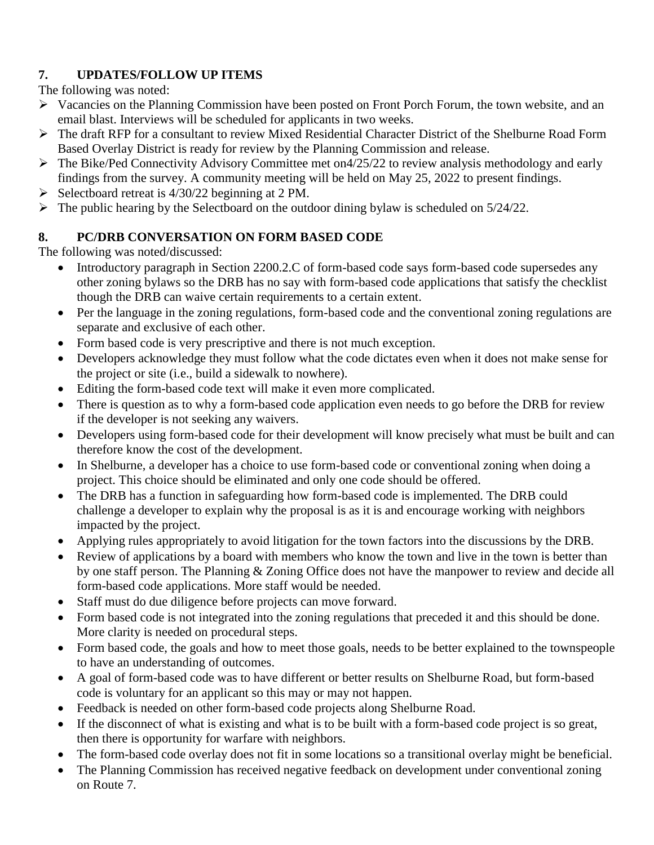### **7. UPDATES/FOLLOW UP ITEMS**

The following was noted:

- ➢ Vacancies on the Planning Commission have been posted on Front Porch Forum, the town website, and an email blast. Interviews will be scheduled for applicants in two weeks.
- ➢ The draft RFP for a consultant to review Mixed Residential Character District of the Shelburne Road Form Based Overlay District is ready for review by the Planning Commission and release.
- ➢ The Bike/Ped Connectivity Advisory Committee met on4/25/22 to review analysis methodology and early findings from the survey. A community meeting will be held on May 25, 2022 to present findings.
- ➢ Selectboard retreat is 4/30/22 beginning at 2 PM.
- $\triangleright$  The public hearing by the Selectboard on the outdoor dining bylaw is scheduled on 5/24/22.

### **8. PC/DRB CONVERSATION ON FORM BASED CODE**

The following was noted/discussed:

- Introductory paragraph in Section 2200.2. C of form-based code says form-based code supersedes any other zoning bylaws so the DRB has no say with form-based code applications that satisfy the checklist though the DRB can waive certain requirements to a certain extent.
- Per the language in the zoning regulations, form-based code and the conventional zoning regulations are separate and exclusive of each other.
- Form based code is very prescriptive and there is not much exception.
- Developers acknowledge they must follow what the code dictates even when it does not make sense for the project or site (i.e., build a sidewalk to nowhere).
- Editing the form-based code text will make it even more complicated.
- There is question as to why a form-based code application even needs to go before the DRB for review if the developer is not seeking any waivers.
- Developers using form-based code for their development will know precisely what must be built and can therefore know the cost of the development.
- In Shelburne, a developer has a choice to use form-based code or conventional zoning when doing a project. This choice should be eliminated and only one code should be offered.
- The DRB has a function in safeguarding how form-based code is implemented. The DRB could challenge a developer to explain why the proposal is as it is and encourage working with neighbors impacted by the project.
- Applying rules appropriately to avoid litigation for the town factors into the discussions by the DRB.
- Review of applications by a board with members who know the town and live in the town is better than by one staff person. The Planning & Zoning Office does not have the manpower to review and decide all form-based code applications. More staff would be needed.
- Staff must do due diligence before projects can move forward.
- Form based code is not integrated into the zoning regulations that preceded it and this should be done. More clarity is needed on procedural steps.
- Form based code, the goals and how to meet those goals, needs to be better explained to the townspeople to have an understanding of outcomes.
- A goal of form-based code was to have different or better results on Shelburne Road, but form-based code is voluntary for an applicant so this may or may not happen.
- Feedback is needed on other form-based code projects along Shelburne Road.
- If the disconnect of what is existing and what is to be built with a form-based code project is so great, then there is opportunity for warfare with neighbors.
- The form-based code overlay does not fit in some locations so a transitional overlay might be beneficial.
- The Planning Commission has received negative feedback on development under conventional zoning on Route 7.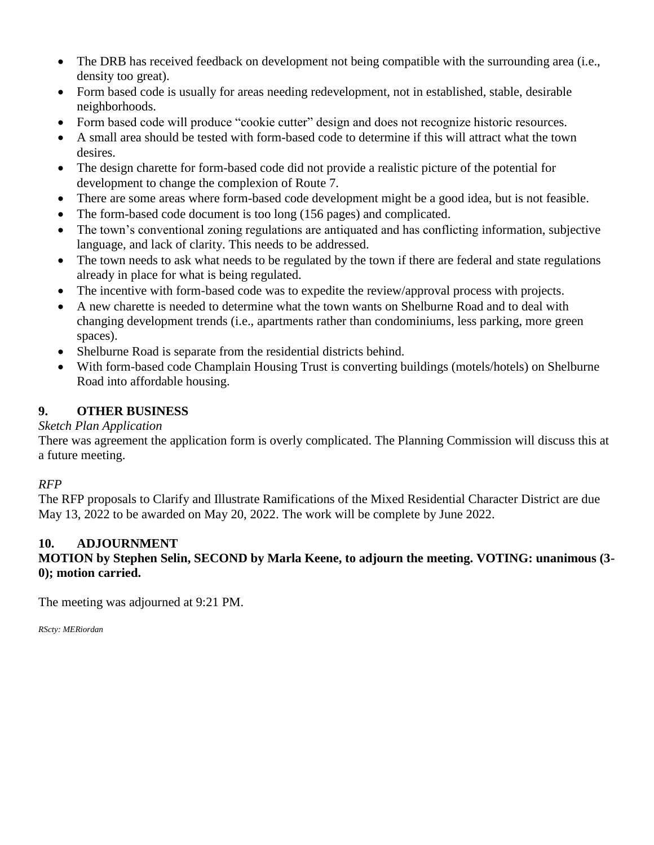- The DRB has received feedback on development not being compatible with the surrounding area (i.e., density too great).
- Form based code is usually for areas needing redevelopment, not in established, stable, desirable neighborhoods.
- Form based code will produce "cookie cutter" design and does not recognize historic resources.
- A small area should be tested with form-based code to determine if this will attract what the town desires.
- The design charette for form-based code did not provide a realistic picture of the potential for development to change the complexion of Route 7.
- There are some areas where form-based code development might be a good idea, but is not feasible.
- The form-based code document is too long (156 pages) and complicated.
- The town's conventional zoning regulations are antiquated and has conflicting information, subjective language, and lack of clarity. This needs to be addressed.
- The town needs to ask what needs to be regulated by the town if there are federal and state regulations already in place for what is being regulated.
- The incentive with form-based code was to expedite the review/approval process with projects.
- A new charette is needed to determine what the town wants on Shelburne Road and to deal with changing development trends (i.e., apartments rather than condominiums, less parking, more green spaces).
- Shelburne Road is separate from the residential districts behind.
- With form-based code Champlain Housing Trust is converting buildings (motels/hotels) on Shelburne Road into affordable housing.

### **9. OTHER BUSINESS**

### *Sketch Plan Application*

There was agreement the application form is overly complicated. The Planning Commission will discuss this at a future meeting.

### *RFP*

The RFP proposals to Clarify and Illustrate Ramifications of the Mixed Residential Character District are due May 13, 2022 to be awarded on May 20, 2022. The work will be complete by June 2022.

### **10. ADJOURNMENT**

**MOTION by Stephen Selin, SECOND by Marla Keene, to adjourn the meeting. VOTING: unanimous (3- 0); motion carried.**

The meeting was adjourned at 9:21 PM.

*RScty: MERiordan*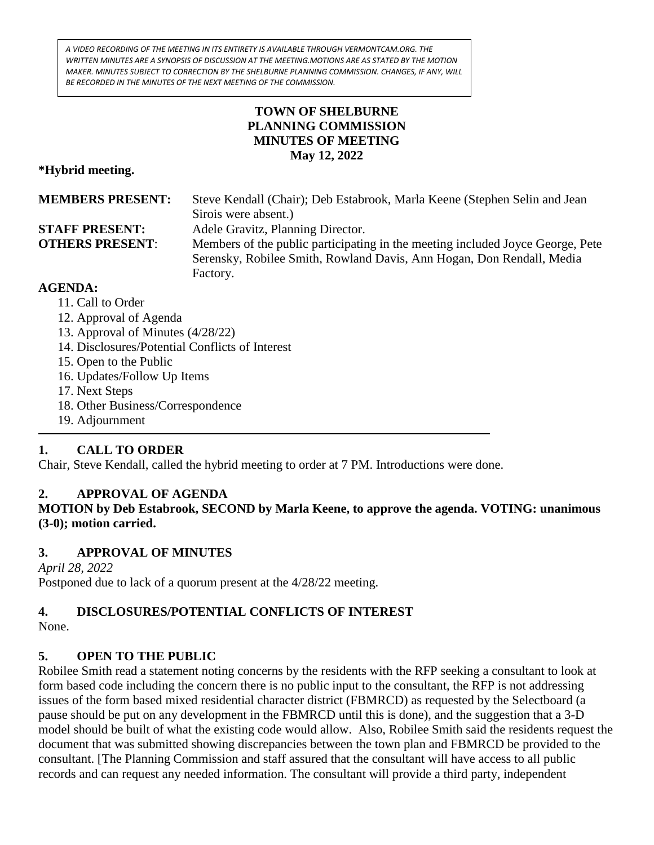*A VIDEO RECORDING OF THE MEETING IN ITS ENTIRETY IS AVAILABLE THROUGH VERMONTCAM.ORG. THE WRITTEN MINUTES ARE A SYNOPSIS OF DISCUSSION AT THE MEETING.MOTIONS ARE AS STATED BY THE MOTION MAKER. MINUTES SUBJECT TO CORRECTION BY THE SHELBURNE PLANNING COMMISSION. CHANGES, IF ANY, WILL BE RECORDED IN THE MINUTES OF THE NEXT MEETING OF THE COMMISSION.*

### **TOWN OF SHELBURNE PLANNING COMMISSION MINUTES OF MEETING May 12, 2022**

### **\*Hybrid meeting.**

| <b>MEMBERS PRESENT:</b> | Steve Kendall (Chair); Deb Estabrook, Marla Keene (Stephen Selin and Jean      |
|-------------------------|--------------------------------------------------------------------------------|
|                         | Sirois were absent.)                                                           |
| <b>STAFF PRESENT:</b>   | Adele Gravitz, Planning Director.                                              |
| <b>OTHERS PRESENT:</b>  | Members of the public participating in the meeting included Joyce George, Pete |
|                         | Serensky, Robilee Smith, Rowland Davis, Ann Hogan, Don Rendall, Media          |
|                         | Factory.                                                                       |
| <b>AGENDA:</b>          |                                                                                |
|                         |                                                                                |

- 11. Call to Order 12. Approval of Agenda
- 13. Approval of Minutes (4/28/22)
- 14. Disclosures/Potential Conflicts of Interest
- 15. Open to the Public
- 16. Updates/Follow Up Items
- 17. Next Steps
- 18. Other Business/Correspondence
- 19. Adjournment

### **1. CALL TO ORDER**

Chair, Steve Kendall, called the hybrid meeting to order at 7 PM. Introductions were done.

### **2. APPROVAL OF AGENDA**

### **MOTION by Deb Estabrook, SECOND by Marla Keene, to approve the agenda. VOTING: unanimous (3-0); motion carried.**

### **3. APPROVAL OF MINUTES**

*April 28, 2022*

Postponed due to lack of a quorum present at the 4/28/22 meeting.

### **4. DISCLOSURES/POTENTIAL CONFLICTS OF INTEREST**

None.

### **5. OPEN TO THE PUBLIC**

Robilee Smith read a statement noting concerns by the residents with the RFP seeking a consultant to look at form based code including the concern there is no public input to the consultant, the RFP is not addressing issues of the form based mixed residential character district (FBMRCD) as requested by the Selectboard (a pause should be put on any development in the FBMRCD until this is done), and the suggestion that a 3-D model should be built of what the existing code would allow. Also, Robilee Smith said the residents request the document that was submitted showing discrepancies between the town plan and FBMRCD be provided to the consultant. [The Planning Commission and staff assured that the consultant will have access to all public records and can request any needed information. The consultant will provide a third party, independent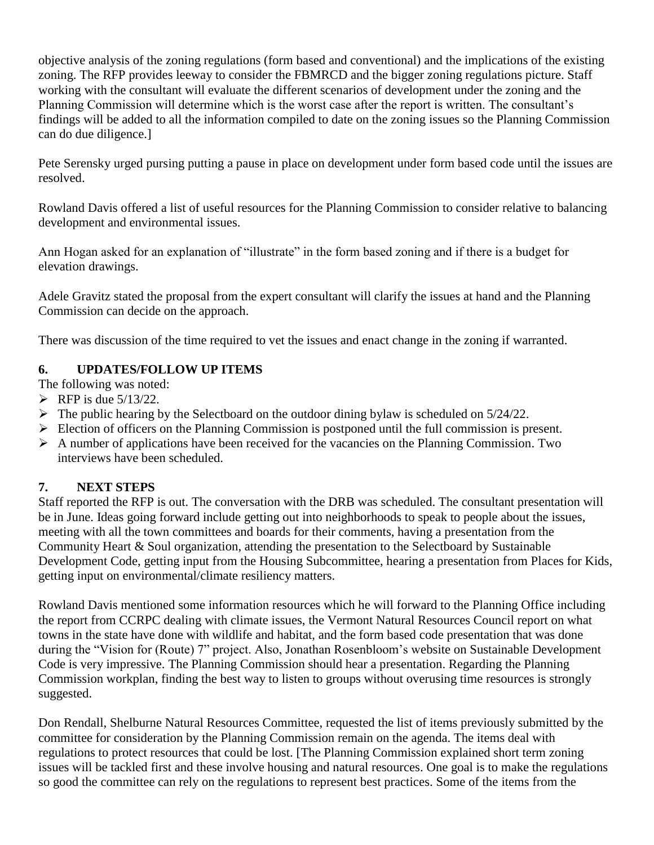objective analysis of the zoning regulations (form based and conventional) and the implications of the existing zoning. The RFP provides leeway to consider the FBMRCD and the bigger zoning regulations picture. Staff working with the consultant will evaluate the different scenarios of development under the zoning and the Planning Commission will determine which is the worst case after the report is written. The consultant's findings will be added to all the information compiled to date on the zoning issues so the Planning Commission can do due diligence.]

Pete Serensky urged pursing putting a pause in place on development under form based code until the issues are resolved.

Rowland Davis offered a list of useful resources for the Planning Commission to consider relative to balancing development and environmental issues.

Ann Hogan asked for an explanation of "illustrate" in the form based zoning and if there is a budget for elevation drawings.

Adele Gravitz stated the proposal from the expert consultant will clarify the issues at hand and the Planning Commission can decide on the approach.

There was discussion of the time required to vet the issues and enact change in the zoning if warranted.

### **6. UPDATES/FOLLOW UP ITEMS**

- The following was noted:
- $\triangleright$  RFP is due 5/13/22.
- $\triangleright$  The public hearing by the Selectboard on the outdoor dining bylaw is scheduled on 5/24/22.
- ➢ Election of officers on the Planning Commission is postponed until the full commission is present.
- $\triangleright$  A number of applications have been received for the vacancies on the Planning Commission. Two interviews have been scheduled.

### **7. NEXT STEPS**

Staff reported the RFP is out. The conversation with the DRB was scheduled. The consultant presentation will be in June. Ideas going forward include getting out into neighborhoods to speak to people about the issues, meeting with all the town committees and boards for their comments, having a presentation from the Community Heart & Soul organization, attending the presentation to the Selectboard by Sustainable Development Code, getting input from the Housing Subcommittee, hearing a presentation from Places for Kids, getting input on environmental/climate resiliency matters.

Rowland Davis mentioned some information resources which he will forward to the Planning Office including the report from CCRPC dealing with climate issues, the Vermont Natural Resources Council report on what towns in the state have done with wildlife and habitat, and the form based code presentation that was done during the "Vision for (Route) 7" project. Also, Jonathan Rosenbloom's website on Sustainable Development Code is very impressive. The Planning Commission should hear a presentation. Regarding the Planning Commission workplan, finding the best way to listen to groups without overusing time resources is strongly suggested.

Don Rendall, Shelburne Natural Resources Committee, requested the list of items previously submitted by the committee for consideration by the Planning Commission remain on the agenda. The items deal with regulations to protect resources that could be lost. [The Planning Commission explained short term zoning issues will be tackled first and these involve housing and natural resources. One goal is to make the regulations so good the committee can rely on the regulations to represent best practices. Some of the items from the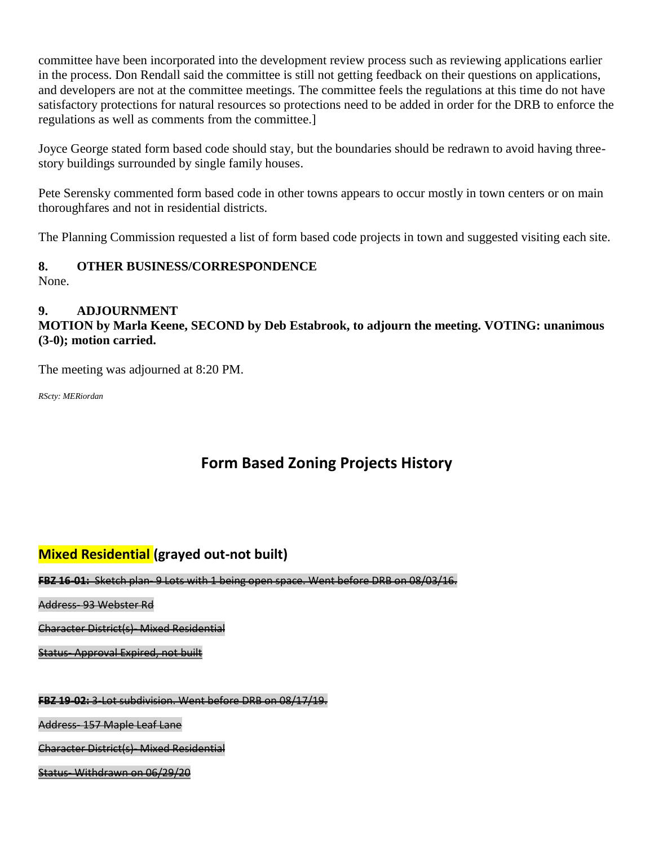committee have been incorporated into the development review process such as reviewing applications earlier in the process. Don Rendall said the committee is still not getting feedback on their questions on applications, and developers are not at the committee meetings. The committee feels the regulations at this time do not have satisfactory protections for natural resources so protections need to be added in order for the DRB to enforce the regulations as well as comments from the committee.]

Joyce George stated form based code should stay, but the boundaries should be redrawn to avoid having threestory buildings surrounded by single family houses.

Pete Serensky commented form based code in other towns appears to occur mostly in town centers or on main thoroughfares and not in residential districts.

The Planning Commission requested a list of form based code projects in town and suggested visiting each site.

# **8. OTHER BUSINESS/CORRESPONDENCE**

None.

### **9. ADJOURNMENT MOTION by Marla Keene, SECOND by Deb Estabrook, to adjourn the meeting. VOTING: unanimous (3-0); motion carried.**

The meeting was adjourned at 8:20 PM.

*RScty: MERiordan*

## **Form Based Zoning Projects History**

### **Mixed Residential (grayed out-not built)**

**FBZ 16-01:** Sketch plan- 9 Lots with 1 being open space. Went before DRB on 08/03/16.

Address- 93 Webster Rd

Character District(s)- Mixed Residential

Status- Approval Expired, not built

**FBZ 19-02:** 3-Lot subdivision. Went before DRB on 08/17/19.

Address- 157 Maple Leaf Lane

Character District(s)- Mixed Residential

Status- Withdrawn on 06/29/20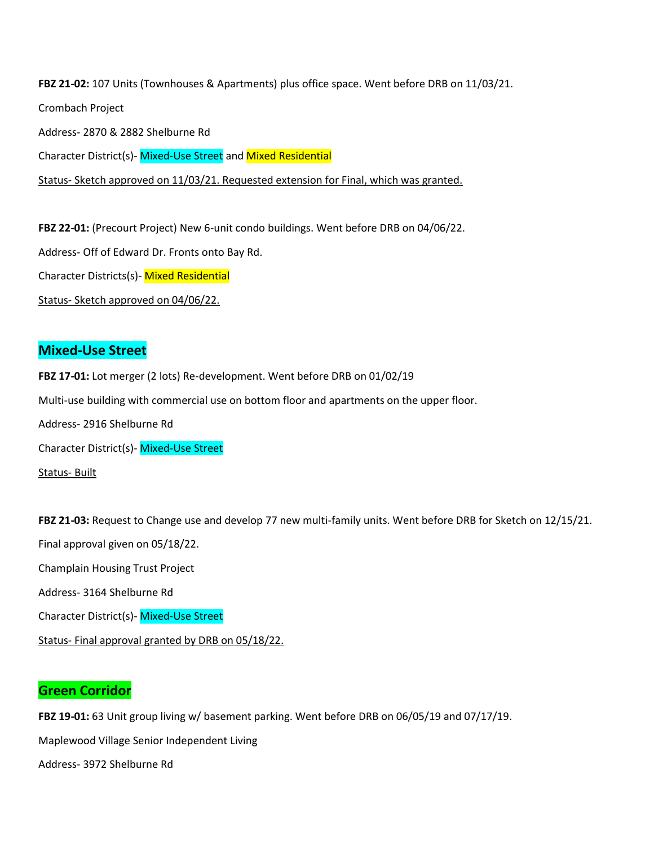**FBZ 21-02:** 107 Units (Townhouses & Apartments) plus office space. Went before DRB on 11/03/21. Crombach Project Address- 2870 & 2882 Shelburne Rd Character District(s)- Mixed-Use Street and Mixed Residential Status- Sketch approved on 11/03/21. Requested extension for Final, which was granted.

**FBZ 22-01:** (Precourt Project) New 6-unit condo buildings. Went before DRB on 04/06/22.

Address- Off of Edward Dr. Fronts onto Bay Rd.

Character Districts(s)- Mixed Residential

Status- Sketch approved on 04/06/22.

### **Mixed-Use Street**

**FBZ 17-01:** Lot merger (2 lots) Re-development. Went before DRB on 01/02/19 Multi-use building with commercial use on bottom floor and apartments on the upper floor. Address- 2916 Shelburne Rd Character District(s)- Mixed-Use Street Status- Built

**FBZ 21-03:** Request to Change use and develop 77 new multi-family units. Went before DRB for Sketch on 12/15/21. Final approval given on 05/18/22. Champlain Housing Trust Project Address- 3164 Shelburne Rd Character District(s)- Mixed-Use Street Status- Final approval granted by DRB on 05/18/22.

### **Green Corridor**

**FBZ 19-01:** 63 Unit group living w/ basement parking. Went before DRB on 06/05/19 and 07/17/19.

Maplewood Village Senior Independent Living

Address- 3972 Shelburne Rd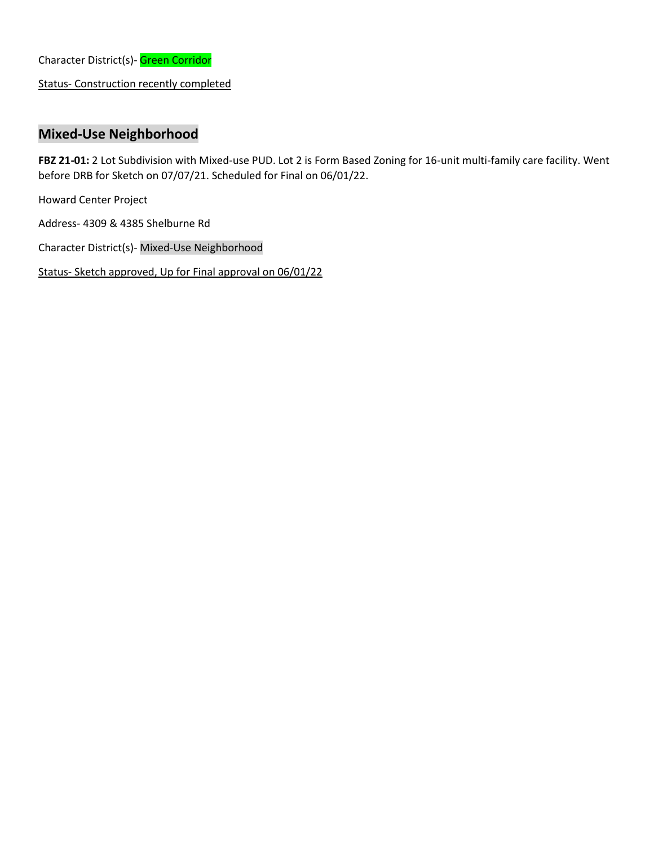Character District(s)- Green Corridor

Status- Construction recently completed

### **Mixed-Use Neighborhood**

**FBZ 21-01:** 2 Lot Subdivision with Mixed-use PUD. Lot 2 is Form Based Zoning for 16-unit multi-family care facility. Went before DRB for Sketch on 07/07/21. Scheduled for Final on 06/01/22.

Howard Center Project

Address- 4309 & 4385 Shelburne Rd

Character District(s)- Mixed-Use Neighborhood

Status- Sketch approved, Up for Final approval on 06/01/22